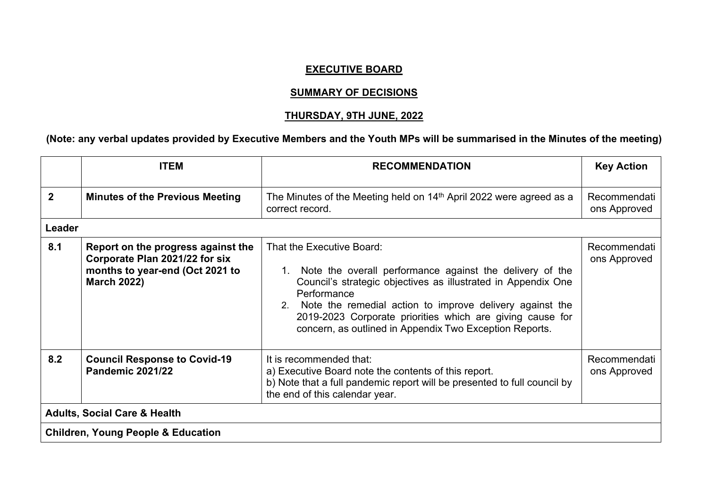## **EXECUTIVE BOARD**

## **SUMMARY OF DECISIONS**

## **THURSDAY, 9TH JUNE, 2022**

## (Note: any verbal updates provided by Executive Members and the Youth MPs will be summarised in the Minutes of the meeting)

|                                               | <b>ITEM</b>                                                                                                                   | <b>RECOMMENDATION</b>                                                                                                                                                                                                                                                                                                                                           | <b>Key Action</b>            |
|-----------------------------------------------|-------------------------------------------------------------------------------------------------------------------------------|-----------------------------------------------------------------------------------------------------------------------------------------------------------------------------------------------------------------------------------------------------------------------------------------------------------------------------------------------------------------|------------------------------|
| $\mathbf{2}$                                  | <b>Minutes of the Previous Meeting</b>                                                                                        | The Minutes of the Meeting held on 14 <sup>th</sup> April 2022 were agreed as a<br>correct record.                                                                                                                                                                                                                                                              | Recommendati<br>ons Approved |
| Leader                                        |                                                                                                                               |                                                                                                                                                                                                                                                                                                                                                                 |                              |
| 8.1                                           | Report on the progress against the<br>Corporate Plan 2021/22 for six<br>months to year-end (Oct 2021 to<br><b>March 2022)</b> | That the Executive Board:<br>1. Note the overall performance against the delivery of the<br>Council's strategic objectives as illustrated in Appendix One<br>Performance<br>2. Note the remedial action to improve delivery against the<br>2019-2023 Corporate priorities which are giving cause for<br>concern, as outlined in Appendix Two Exception Reports. | Recommendati<br>ons Approved |
| 8.2                                           | <b>Council Response to Covid-19</b><br><b>Pandemic 2021/22</b>                                                                | It is recommended that:<br>a) Executive Board note the contents of this report.<br>b) Note that a full pandemic report will be presented to full council by<br>the end of this calendar year.                                                                                                                                                                   | Recommendati<br>ons Approved |
| <b>Adults, Social Care &amp; Health</b>       |                                                                                                                               |                                                                                                                                                                                                                                                                                                                                                                 |                              |
| <b>Children, Young People &amp; Education</b> |                                                                                                                               |                                                                                                                                                                                                                                                                                                                                                                 |                              |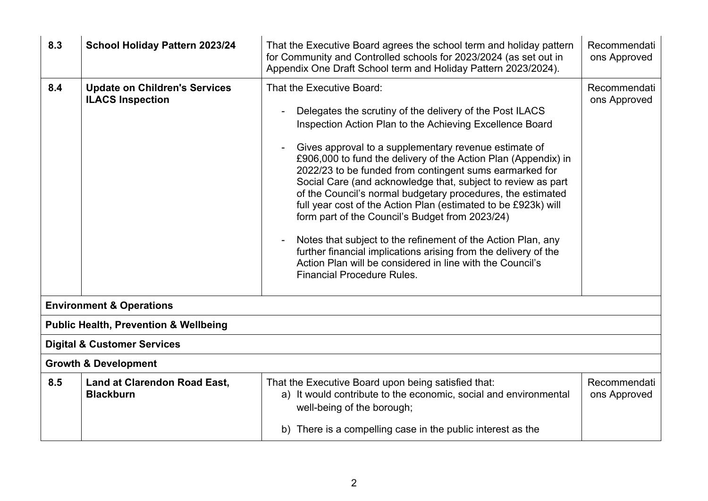| 8.3 | School Holiday Pattern 2023/24                                  | That the Executive Board agrees the school term and holiday pattern<br>for Community and Controlled schools for 2023/2024 (as set out in<br>Appendix One Draft School term and Holiday Pattern 2023/2024).                                                                                                                                                                                                                                                                                                                                                                                                                                                                                                                                                                                                                       | Recommendati<br>ons Approved |  |
|-----|-----------------------------------------------------------------|----------------------------------------------------------------------------------------------------------------------------------------------------------------------------------------------------------------------------------------------------------------------------------------------------------------------------------------------------------------------------------------------------------------------------------------------------------------------------------------------------------------------------------------------------------------------------------------------------------------------------------------------------------------------------------------------------------------------------------------------------------------------------------------------------------------------------------|------------------------------|--|
| 8.4 | <b>Update on Children's Services</b><br><b>ILACS Inspection</b> | That the Executive Board:<br>Delegates the scrutiny of the delivery of the Post ILACS<br>Inspection Action Plan to the Achieving Excellence Board<br>Gives approval to a supplementary revenue estimate of<br>£906,000 to fund the delivery of the Action Plan (Appendix) in<br>2022/23 to be funded from contingent sums earmarked for<br>Social Care (and acknowledge that, subject to review as part<br>of the Council's normal budgetary procedures, the estimated<br>full year cost of the Action Plan (estimated to be £923k) will<br>form part of the Council's Budget from 2023/24)<br>Notes that subject to the refinement of the Action Plan, any<br>further financial implications arising from the delivery of the<br>Action Plan will be considered in line with the Council's<br><b>Financial Procedure Rules.</b> | Recommendati<br>ons Approved |  |
|     | <b>Environment &amp; Operations</b>                             |                                                                                                                                                                                                                                                                                                                                                                                                                                                                                                                                                                                                                                                                                                                                                                                                                                  |                              |  |
|     | <b>Public Health, Prevention &amp; Wellbeing</b>                |                                                                                                                                                                                                                                                                                                                                                                                                                                                                                                                                                                                                                                                                                                                                                                                                                                  |                              |  |
|     | <b>Digital &amp; Customer Services</b>                          |                                                                                                                                                                                                                                                                                                                                                                                                                                                                                                                                                                                                                                                                                                                                                                                                                                  |                              |  |
|     | <b>Growth &amp; Development</b>                                 |                                                                                                                                                                                                                                                                                                                                                                                                                                                                                                                                                                                                                                                                                                                                                                                                                                  |                              |  |
| 8.5 | <b>Land at Clarendon Road East,</b><br><b>Blackburn</b>         | That the Executive Board upon being satisfied that:<br>a) It would contribute to the economic, social and environmental<br>well-being of the borough;                                                                                                                                                                                                                                                                                                                                                                                                                                                                                                                                                                                                                                                                            | Recommendati<br>ons Approved |  |
|     |                                                                 | b) There is a compelling case in the public interest as the                                                                                                                                                                                                                                                                                                                                                                                                                                                                                                                                                                                                                                                                                                                                                                      |                              |  |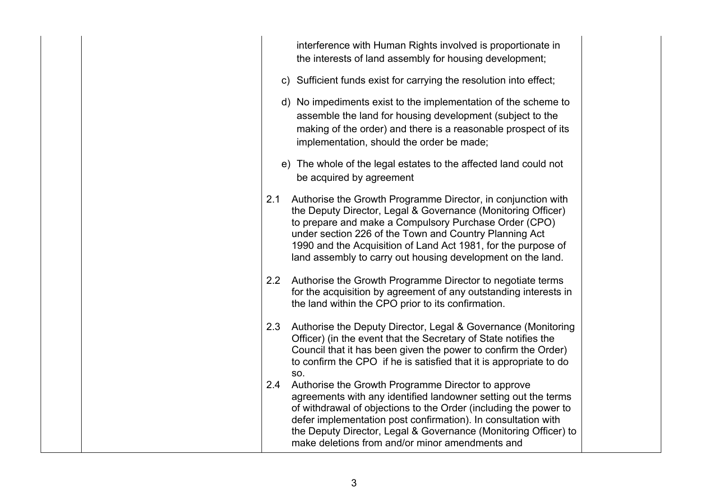| interference with Human Rights involved is proportionate in<br>the interests of land assembly for housing development;                                                                                                                                                                                                                                                                 |
|----------------------------------------------------------------------------------------------------------------------------------------------------------------------------------------------------------------------------------------------------------------------------------------------------------------------------------------------------------------------------------------|
| c) Sufficient funds exist for carrying the resolution into effect;                                                                                                                                                                                                                                                                                                                     |
| d) No impediments exist to the implementation of the scheme to<br>assemble the land for housing development (subject to the<br>making of the order) and there is a reasonable prospect of its<br>implementation, should the order be made;                                                                                                                                             |
| e) The whole of the legal estates to the affected land could not<br>be acquired by agreement                                                                                                                                                                                                                                                                                           |
| Authorise the Growth Programme Director, in conjunction with<br>2.1<br>the Deputy Director, Legal & Governance (Monitoring Officer)<br>to prepare and make a Compulsory Purchase Order (CPO)<br>under section 226 of the Town and Country Planning Act<br>1990 and the Acquisition of Land Act 1981, for the purpose of<br>land assembly to carry out housing development on the land. |
| 2.2<br>Authorise the Growth Programme Director to negotiate terms<br>for the acquisition by agreement of any outstanding interests in<br>the land within the CPO prior to its confirmation.                                                                                                                                                                                            |
| Authorise the Deputy Director, Legal & Governance (Monitoring<br>2.3<br>Officer) (in the event that the Secretary of State notifies the<br>Council that it has been given the power to confirm the Order)<br>to confirm the CPO if he is satisfied that it is appropriate to do<br>SO.                                                                                                 |
| Authorise the Growth Programme Director to approve<br>2.4<br>agreements with any identified landowner setting out the terms<br>of withdrawal of objections to the Order (including the power to<br>defer implementation post confirmation). In consultation with<br>the Deputy Director, Legal & Governance (Monitoring Officer) to<br>make deletions from and/or minor amendments and |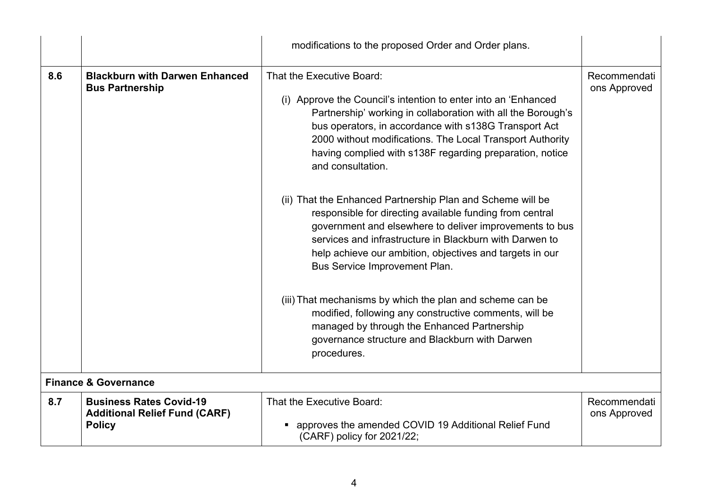|     |                                                                                         | modifications to the proposed Order and Order plans.                                                                                                                                                                                                                                                                                                               |                              |
|-----|-----------------------------------------------------------------------------------------|--------------------------------------------------------------------------------------------------------------------------------------------------------------------------------------------------------------------------------------------------------------------------------------------------------------------------------------------------------------------|------------------------------|
| 8.6 | <b>Blackburn with Darwen Enhanced</b><br><b>Bus Partnership</b>                         | That the Executive Board:<br>(i) Approve the Council's intention to enter into an 'Enhanced<br>Partnership' working in collaboration with all the Borough's<br>bus operators, in accordance with s138G Transport Act<br>2000 without modifications. The Local Transport Authority<br>having complied with s138F regarding preparation, notice<br>and consultation. | Recommendati<br>ons Approved |
|     |                                                                                         | (ii) That the Enhanced Partnership Plan and Scheme will be<br>responsible for directing available funding from central<br>government and elsewhere to deliver improvements to bus<br>services and infrastructure in Blackburn with Darwen to<br>help achieve our ambition, objectives and targets in our<br>Bus Service Improvement Plan.                          |                              |
|     |                                                                                         | (iii) That mechanisms by which the plan and scheme can be<br>modified, following any constructive comments, will be<br>managed by through the Enhanced Partnership<br>governance structure and Blackburn with Darwen<br>procedures.                                                                                                                                |                              |
|     | <b>Finance &amp; Governance</b>                                                         |                                                                                                                                                                                                                                                                                                                                                                    |                              |
| 8.7 | <b>Business Rates Covid-19</b><br><b>Additional Relief Fund (CARF)</b><br><b>Policy</b> | That the Executive Board:<br>approves the amended COVID 19 Additional Relief Fund<br>(CARF) policy for 2021/22;                                                                                                                                                                                                                                                    | Recommendati<br>ons Approved |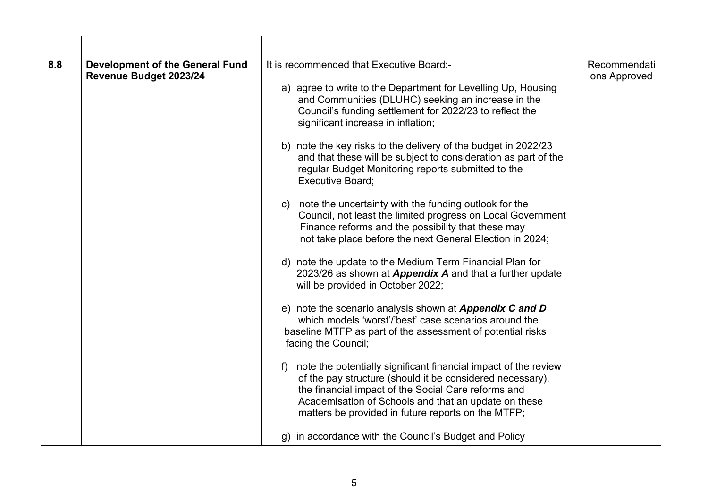| 8.8 | <b>Development of the General Fund</b><br>Revenue Budget 2023/24 | It is recommended that Executive Board:-<br>a) agree to write to the Department for Levelling Up, Housing<br>and Communities (DLUHC) seeking an increase in the<br>Council's funding settlement for 2022/23 to reflect the<br>significant increase in inflation;<br>b) note the key risks to the delivery of the budget in 2022/23<br>and that these will be subject to consideration as part of the<br>regular Budget Monitoring reports submitted to the<br><b>Executive Board;</b><br>c) note the uncertainty with the funding outlook for the<br>Council, not least the limited progress on Local Government<br>Finance reforms and the possibility that these may<br>not take place before the next General Election in 2024;<br>d) note the update to the Medium Term Financial Plan for<br>2023/26 as shown at Appendix A and that a further update<br>will be provided in October 2022;<br>e) note the scenario analysis shown at Appendix C and D<br>which models 'worst'/'best' case scenarios around the<br>baseline MTFP as part of the assessment of potential risks<br>facing the Council;<br>f) note the potentially significant financial impact of the review<br>of the pay structure (should it be considered necessary),<br>the financial impact of the Social Care reforms and<br>Academisation of Schools and that an update on these<br>matters be provided in future reports on the MTFP;<br>g) in accordance with the Council's Budget and Policy | Recommendati<br>ons Approved |
|-----|------------------------------------------------------------------|---------------------------------------------------------------------------------------------------------------------------------------------------------------------------------------------------------------------------------------------------------------------------------------------------------------------------------------------------------------------------------------------------------------------------------------------------------------------------------------------------------------------------------------------------------------------------------------------------------------------------------------------------------------------------------------------------------------------------------------------------------------------------------------------------------------------------------------------------------------------------------------------------------------------------------------------------------------------------------------------------------------------------------------------------------------------------------------------------------------------------------------------------------------------------------------------------------------------------------------------------------------------------------------------------------------------------------------------------------------------------------------------------------------------------------------------------------------------------|------------------------------|
|     |                                                                  |                                                                                                                                                                                                                                                                                                                                                                                                                                                                                                                                                                                                                                                                                                                                                                                                                                                                                                                                                                                                                                                                                                                                                                                                                                                                                                                                                                                                                                                                           |                              |